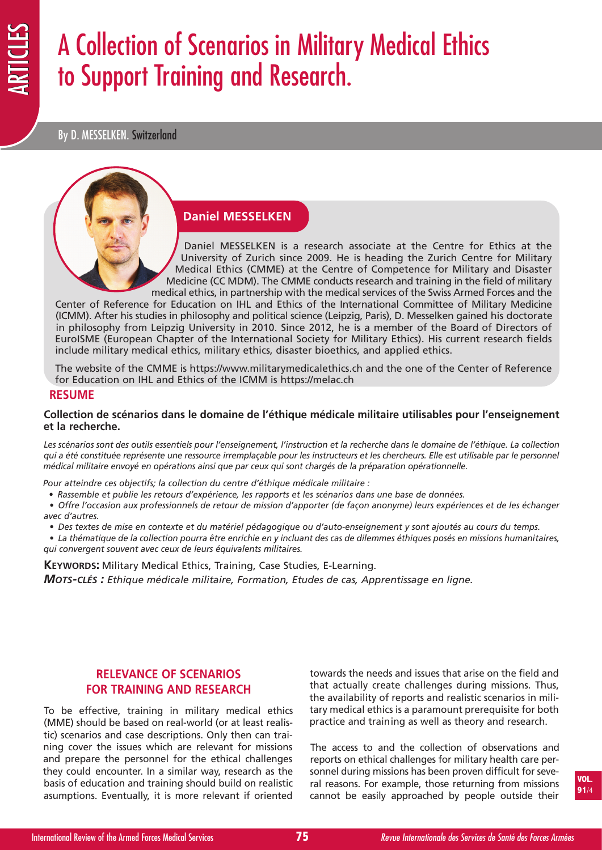# A Collection of Scenarios in Military Medical Ethics to Support Training and Research.

By D. MESSELKEN. Switzerland

## **Daniel MESSELKEN**

Daniel MESSELKEN is a research associate at the Centre for Ethics at the University of Zurich since 2009. He is heading the Zurich Centre for Military Medical Ethics (CMME) at the Centre of Competence for Military and Disaster Medicine (CC MDM). The CMME conducts research and training in the field of military medical ethics, in partnership with the medical services of the Swiss Armed Forces and the

Center of Reference for Education on IHL and Ethics of the International Committee of Military Medicine (ICMM). After his studies in philosophy and political science (Leipzig, Paris), D. Messelken gained his doctorate in philosophy from Leipzig University in 2010. Since 2012, he is a member of the Board of Directors of EuroISME (European Chapter of the International Society for Military Ethics). His current research fields include military medical ethics, military ethics, disaster bioethics, and applied ethics.

The website of the CMME is https://www.militarymedicalethics.ch and the one of the Center of Reference for Education on IHL and Ethics of the ICMM is https://melac.ch

#### **RESUME**

#### **Collection de scénarios dans le domaine de l'éthique médicale militaire utilisables pour l'enseignement et la recherche.**

Les scénarios sont des outils essentiels pour l'enseignement, l'instruction et la recherche dans le domaine de l'éthique. La collection qui a été constituée représente une ressource irremplaçable pour les instructeurs et les chercheurs. Elle est utilisable par le personnel *médical militaire envoyé en opérations ainsi que par ceux qui sont chargés de la préparation opérationnelle.*

*Pour atteindre ces objectifs; la collection du centre d'éthique médicale militaire :*

- *• Rassemble et publie les retours d'expérience, les rapports et les scénarios dans une base de données.*
- · Offre l'occasion aux professionnels de retour de mission d'apporter (de façon anonyme) leurs expériences et de les échanger *avec d'autres.*
	- Des textes de mise en contexte et du matériel pédagogique ou d'auto-enseignement y sont ajoutés au cours du temps.
- La thématique de la collection pourra être enrichie en y incluant des cas de dilemmes éthiques posés en missions humanitaires, *qui convergent souvent avec ceux de leurs équivalents militaires.*

**KEYWORDS:** Military Medical Ethics, Training, Case Studies, E-Learning. *MOTS-CLÉS : Ethique médicale militaire, Formation, Etudes de cas, Apprentissage en ligne.*

# **RELEVANCE OF SCENARIOS FOR TRAINING AND RESEARCH**

To be effective, training in military medical ethics (MME) should be based on real-world (or at least realistic) scenarios and case descriptions. Only then can training cover the issues which are relevant for missions and prepare the personnel for the ethical challenges they could encounter. In a similar way, research as the basis of education and training should build on realistic asumptions. Eventually, it is more relevant if oriented

towards the needs and issues that arise on the field and that actually create challenges during missions. Thus, the availability of reports and realistic scenarios in military medical ethics is a paramount prerequisite for both practice and training as well as theory and research.

The access to and the collection of observations and reports on ethical challenges for military health care personnel during missions has been proven difficult for several reasons. For example, those returning from missions cannot be easily approached by people outside their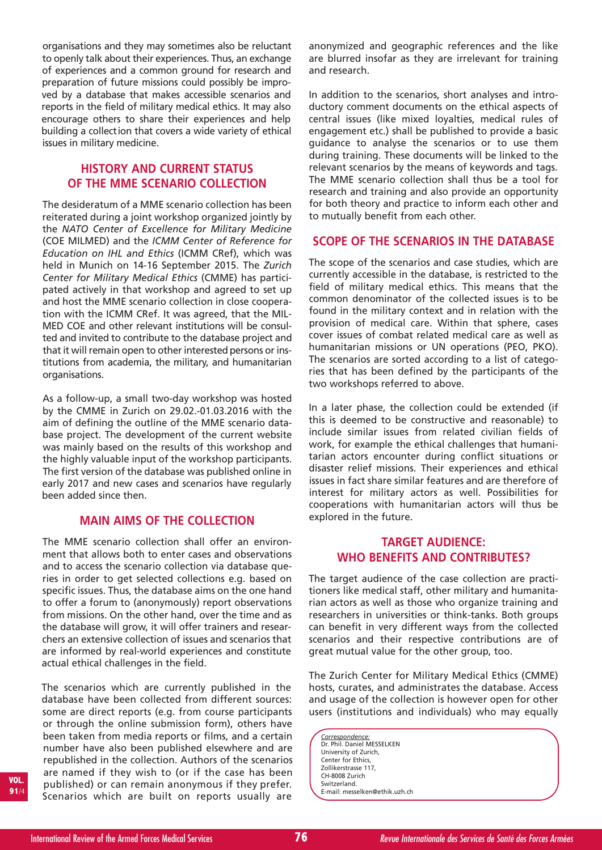organisations and they may sometimes also be reluctant to openly talk about their experiences. Thus, an exchange of experiences and a common ground for research and preparation of future missions could possibly be improved by a database that makes accessible scenarios and reports in the field of military medical ethics. It may also encourage others to share their experiences and help building a collection that covers a wide variety of ethical issues in military medicine.

# **HISTORY AND CURRENT STATUS OF THE MME SCENARIO COLLECTION**

The desideratum of a MME scenario collection has been reiterated during a joint workshop organized jointly by the *NATO Center of Excellence for Military Medicine* (COE MILMED) and the *ICMM Center of Reference for Education on IHL and Ethics* (ICMM CRef), which was held in Munich on 14-16 September 2015. The *Zurich Center for Military Medical Ethics* (CMME) has participated actively in that workshop and agreed to set up and host the MME scenario collection in close cooperation with the ICMM CRef. It was agreed, that the MIL-MED COE and other relevant institutions will be consulted and invited to contribute to the database project and that it will remain open to other interested persons or institutions from academia, the military, and humanitarian organisations.

As a follow-up, a small two-day workshop was hosted by the CMME in Zurich on 29.02.-01.03.2016 with the aim of defining the outline of the MME scenario database project. The development of the current website was mainly based on the results of this workshop and the highly valuable input of the workshop participants. The first version of the database was published online in early 2017 and new cases and scenarios have regularly been added since then.

## **MAIN AIMS OF THE COLLECTION**

The MME scenario collection shall offer an environment that allows both to enter cases and observations and to access the scenario collection via database queries in order to get selected collections e.g. based on specific issues. Thus, the database aims on the one hand to offer a forum to (anonymously) report observations from missions. On the other hand, over the time and as the database will grow, it will offer trainers and researchers an extensive collection of issues and scenarios that are informed by real-world experiences and constitute actual ethical challenges in the field.

The scenarios which are currently published in the database have been collected from different sources: some are direct reports (e.g. from course participants or through the online submission form), others have been taken from media reports or films, and a certain number have also been published elsewhere and are republished in the collection. Authors of the scenarios are named if they wish to (or if the case has been published) or can remain anonymous if they prefer. Scenarios which are built on reports usually are

anonymized and geographic references and the like are blurred insofar as they are irrelevant for training and research.

In addition to the scenarios, short analyses and introductory comment documents on the ethical aspects of central issues (like mixed loyalties, medical rules of engagement etc.) shall be published to provide a basic guidance to analyse the scenarios or to use them during training. These documents will be linked to the relevant scenarios by the means of keywords and tags. The MME scenario collection shall thus be a tool for research and training and also provide an opportunity for both theory and practice to inform each other and to mutually benefit from each other.

## **SCOPE OF THE SCENARIOS IN THE DATABASE**

The scope of the scenarios and case studies, which are currently accessible in the database, is restricted to the field of military medical ethics. This means that the common denominator of the collected issues is to be found in the military context and in relation with the provision of medical care. Within that sphere, cases cover issues of combat related medical care as well as humanitarian missions or UN operations (PEO, PKO). The scenarios are sorted according to a list of categories that has been defined by the participants of the two workshops referred to above.

In a later phase, the collection could be extended (if this is deemed to be constructive and reasonable) to include similar issues from related civilian fields of work, for example the ethical challenges that humanitarian actors encounter during conflict situations or disaster relief missions. Their experiences and ethical issues in fact share similar features and are therefore of interest for military actors as well. Possibilities for cooperations with humanitarian actors will thus be explored in the future.

# **TARGET AUDIENCE: WHO BENEFITS AND CONTRIBUTES?**

The target audience of the case collection are practitioners like medical staff, other military and humanitarian actors as well as those who organize training and researchers in universities or think-tanks. Both groups can benefit in very different ways from the collected scenarios and their respective contributions are of great mutual value for the other group, too.

The Zurich Center for Military Medical Ethics (CMME) hosts, curates, and administrates the database. Access and usage of the collection is however open for other users (institutions and individuals) who may equally

*Correspondence:* Dr. Phil. Daniel MESSELKEN University of Zurich, Center for Ethics, Zollikerstrasse 117, CH-8008 Zurich Switzerland. E-mail: messelken@ethik.uzh.ch